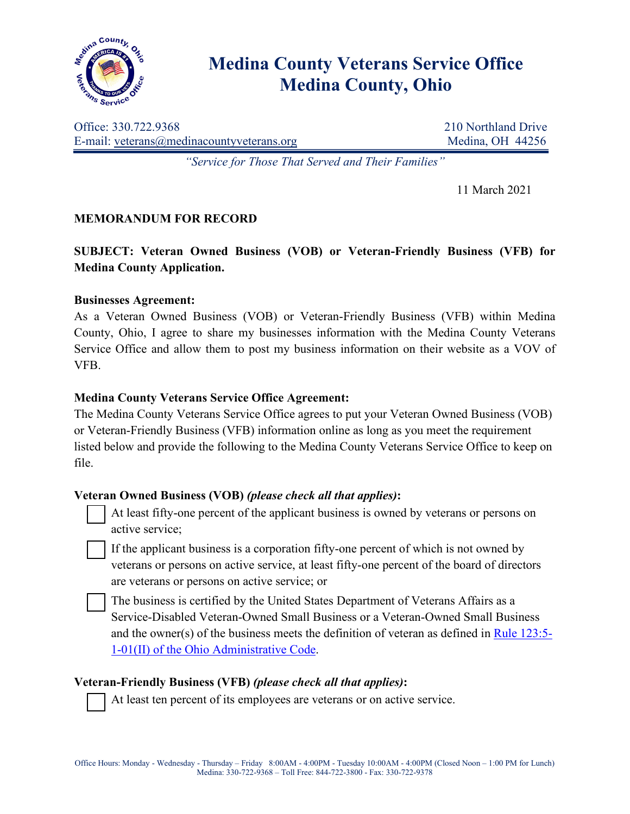

# **Medina County Veterans Service Office Medina County, Ohio**

Office: 330.722.9368 210 Northland Drive E-mail: veterans@medinacountyveterans.org Medina, OH 44256

*"Service for Those That Served and Their Families"*

11 March 2021

# **MEMORANDUM FOR RECORD**

**SUBJECT: Veteran Owned Business (VOB) or Veteran-Friendly Business (VFB) for Medina County Application.**

## **Businesses Agreement:**

As a Veteran Owned Business (VOB) or Veteran-Friendly Business (VFB) within Medina County, Ohio, I agree to share my businesses information with the Medina County Veterans Service Office and allow them to post my business information on their website as a VOV of VFB.

## **Medina County Veterans Service Office Agreement:**

The Medina County Veterans Service Office agrees to put your Veteran Owned Business (VOB) or Veteran-Friendly Business (VFB) information online as long as you meet the requirement listed below and provide the following to the Medina County Veterans Service Office to keep on file.

## **Veteran Owned Business (VOB)** *(please check all that applies)***:**

 At least fifty-one percent of the applicant business is owned by veterans or persons on active service;

 If the applicant business is a corporation fifty-one percent of which is not owned by veterans or persons on active service, at least fifty-one percent of the board of directors are veterans or persons on active service; or

 The business is certified by the United States Department of Veterans Affairs as a Service-Disabled Veteran-Owned Small Business or a Veteran-Owned Small Business and the owner(s) of the business meets the definition of veteran as defined in [Rule 123:5-](http://codes.ohio.gov/oac/123%3A5-1) [1-01\(II\) of the Ohio Administrative Code.](http://codes.ohio.gov/oac/123%3A5-1)

## **Veteran-Friendly Business (VFB)** *(please check all that applies)***:**

At least ten percent of its employees are veterans or on active service.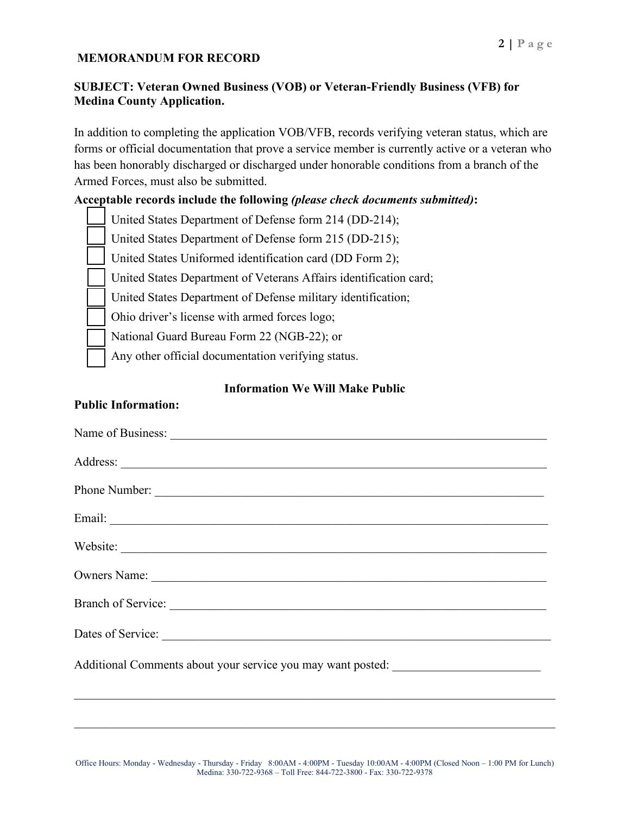#### **MEMORANDUM FOR RECORD**

## **SUBJECT: Veteran Owned Business (VOB) or Veteran-Friendly Business (VFB) for Medina County Application.**

In addition to completing the application VOB/VFB, records verifying veteran status, which are forms or official documentation that prove a service member is currently active or a veteran who has been honorably discharged or discharged under honorable conditions from a branch of the Armed Forces, must also be submitted.

#### **Acceptable records include the following** *(please check documents submitted)***:**

- United States Department of Defense form 214 (DD-214);
- United States Department of Defense form 215 (DD-215);
- United States Uniformed identification card (DD Form 2);
- United States Department of Veterans Affairs identification card;
- United States Department of Defense military identification;
- Ohio driver's license with armed forces logo;
- National Guard Bureau Form 22 (NGB-22); or
- Any other official documentation verifying status.

#### **Information We Will Make Public**

#### **Public Information:**

| Name of Business:                                                                 |
|-----------------------------------------------------------------------------------|
|                                                                                   |
|                                                                                   |
|                                                                                   |
|                                                                                   |
|                                                                                   |
|                                                                                   |
|                                                                                   |
| Additional Comments about your service you may want posted: ____________________  |
| ,我们也不能在这里的时候,我们也不能在这里的时候,我们也不能不能不能不能不能不能不能不能不能不能不能不能不能不能不能。""我们,我们也不能不能不能不能不能不能不能 |

 $\mathcal{L}_\mathcal{L} = \mathcal{L}_\mathcal{L} = \mathcal{L}_\mathcal{L} = \mathcal{L}_\mathcal{L} = \mathcal{L}_\mathcal{L} = \mathcal{L}_\mathcal{L} = \mathcal{L}_\mathcal{L} = \mathcal{L}_\mathcal{L} = \mathcal{L}_\mathcal{L} = \mathcal{L}_\mathcal{L} = \mathcal{L}_\mathcal{L} = \mathcal{L}_\mathcal{L} = \mathcal{L}_\mathcal{L} = \mathcal{L}_\mathcal{L} = \mathcal{L}_\mathcal{L} = \mathcal{L}_\mathcal{L} = \mathcal{L}_\mathcal{L}$